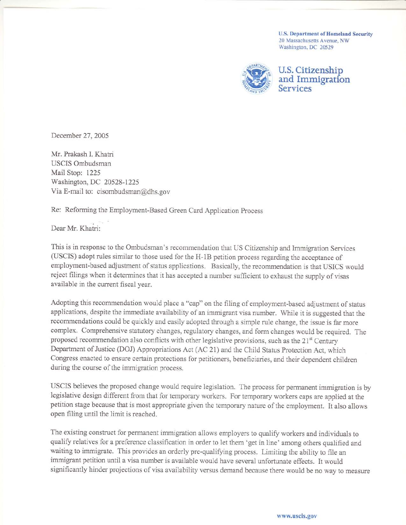U.S. Department of Homeland Security 20 Massachusefts Avenue, NW Washington, DC 20529



U.S. Citizenship and Immigration Services

December 27.2005

Mr. Prakash I. Khatri USCIS Ombudsman Mail Stop: 1225 Washington, DC 20528-1225 Via E-mail to: cisombudsman@dhs.gov

Re: Reforming the Employment-Based Green Card Application Process

Dear Mr. Khatri:

This is in response to the Ombudsman's recommendation that US Citizenship and Immigration Services (USCIS) adopt rules similar to those used for the H-1B petition process regarding the acceptance of employment-based adjustment of status applications. Basically, the recommendation is that USICS would reject filings when it determines that it has accepted a number sufficient to exhaust the supply of visas available in the current fiscal year.

Adopting this recommendation would place a "cap" on the filing of employment-based adjustment of status applications, despite the immediate availability of an immigrant visa number. While it is suggested that the recommendations could be quickly and easily adopted through a simple rule change, the issue is far more complex. Comprehensive statutory changes, regulatory changes, and form changes would be required. The proposed recommendation also conflicts with other legislative provisions, such as the 21<sup>st</sup> Century Department of Justice (DOJ) Appropriations Act (AC 21) and the Child Status Protection Act, which Congress enacted to ensure certain protections for petitioners, beneficiaries, and their dependent children during the course of the immigration process.

USCIS believes the proposed change would require legislation. The process for permanent immigration is by legislative design different from that for temporary workers. For temporary workers caps are applied at the petition stage because that is most appropriate given the temporary nature of the employment. It also allows open filing until the limit is reached.

The existing construct for permanent immigration allows employers to qualify workers and individuals to qualify relatives for a preference classification in order to let them 'get in line' among others qualified and waiting to immigrate. This provides an orderly pre-qualifying process. Limiting the ability to file an immigrant petition until a visa nurnber is available would have several unfortunate effects. It would significantly hinder projections of visa availability versus demand because there would be no way to measure